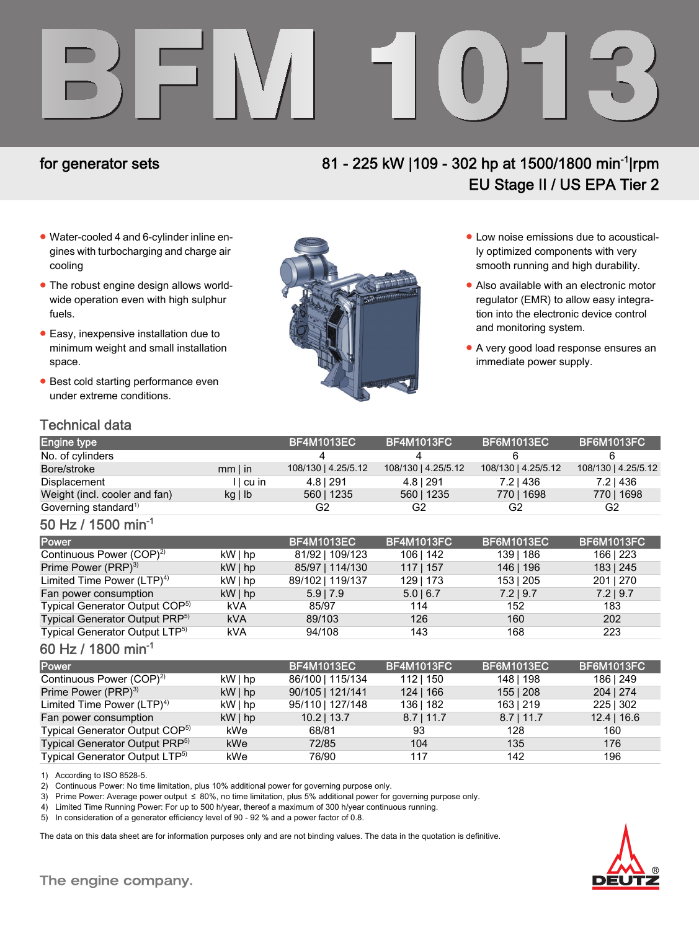# BFM 1013

# for generator sets 81 - 225 kW |109 - 302 hp at 1500/1800 min-1|rpm EU Stage II / US EPA Tier 2

- Water-cooled 4 and 6-cylinder inline engines with turbocharging and charge air cooling
- The robust engine design allows worldwide operation even with high sulphur fuels.
- Easy, inexpensive installation due to minimum weight and small installation space.
- Best cold starting performance even under extreme conditions.



- Low noise emissions due to acoustically optimized components with very smooth running and high durability.
- Also available with an electronic motor regulator (EMR) to allow easy integration into the electronic device control and monitoring system.
- A very good load response ensures an immediate power supply.

### Technical data

| <b>Engine type</b>               |              | <b>BF4M1013EC</b>   | BF4M1013FC!         | <b>BF6M1013EC</b>   | <b>BF6M1013FC</b>   |
|----------------------------------|--------------|---------------------|---------------------|---------------------|---------------------|
| No. of cylinders                 |              |                     |                     |                     |                     |
| Bore/stroke                      | $mm$ I in    | 108/130   4.25/5.12 | 108/130   4.25/5.12 | 108/130   4.25/5.12 | 108/130   4.25/5.12 |
| Displacement                     | I I cu in    | 4.8   291           | 4.8   291           | 7.21436             | 7.21436             |
| Weight (incl. cooler and fan)    | $kq \mid lb$ | 560   1235          | 560   1235          | 77011698            | 770   1698          |
| Governing standard <sup>1)</sup> |              | G2                  | G2                  | G2                  | G2                  |

### 50 Hz / 1500 min-1

| <b>Power</b>                               |            | <b>BF4M1013EC</b> | <b>BF4M1013FC</b> | <b>BF6M1013EC</b> | <b>BF6M1013FC</b> |
|--------------------------------------------|------------|-------------------|-------------------|-------------------|-------------------|
| Continuous Power (COP) <sup>2)</sup>       | kW   hp    | 81/92   109/123   | 106   142         | 139   186         | 166   223         |
| Prime Power (PRP) <sup>3)</sup>            | $kW $ hp   | 85/97   114/130   | $117$   157       | 146   196         | 183   245         |
| Limited Time Power $(LTP)^4$               | kW   hp    | 89/102   119/137  | 129   173         | 153   205         | 201   270         |
| Fan power consumption                      | $kW $ hp   | $5.9$   7.9       | $5.0$   6.7       | $7.2$   9.7       | $7.2$   9.7       |
| Typical Generator Output COP <sup>5)</sup> | kVA        | 85/97             | 114               | 152               | 183               |
| Typical Generator Output PRP <sup>5)</sup> | <b>kVA</b> | 89/103            | 126               | 160               | 202               |
| Typical Generator Output LTP <sup>5)</sup> | kVA        | 94/108            | 143               | 168               | 223               |

### 60 Hz / 1800 min-1

| Power                                      |          | <b>BF4M1013EC</b> | <b>BF4M1013FC</b> | <b>BF6M1013EC</b> | <b>BF6M1013FC</b> |
|--------------------------------------------|----------|-------------------|-------------------|-------------------|-------------------|
| Continuous Power (COP) <sup>2)</sup>       | $kW $ hp | 86/100   115/134  | 112   150         | 148   198         | 186   249         |
| Prime Power (PRP) <sup>3)</sup>            | $kW $ hp | 90/105   121/141  | 124 166           | 155 208           | 204   274         |
| Limited Time Power $(LTP)^{4}$             | $kW $ hp | 95/110   127/148  | 136   182         | 163   219         | 225   302         |
| Fan power consumption                      | $kW $ hp | $10.2$   13.7     | $8.7$   11.7      | $8.7$   11.7      | $12.4$   16.6     |
| Typical Generator Output COP <sup>5)</sup> | kWe      | 68/81             | 93                | 128               | 160               |
| Typical Generator Output PRP <sup>5)</sup> | kWe      | 72/85             | 104               | 135               | 176               |
| Typical Generator Output LTP <sup>5)</sup> | kWe      | 76/90             | 117               | 142               | 196               |

1) According to ISO 8528-5.

2) Continuous Power: No time limitation, plus 10% additional power for governing purpose only.

3) Prime Power: Average power output ≤ 80%, no time limitation, plus 5% additional power for governing purpose only.

4) Limited Time Running Power: For up to 500 h/year, thereof a maximum of 300 h/year continuous running.

5) In consideration of a generator efficiency level of 90 - 92 % and a power factor of 0.8.

The data on this data sheet are for information purposes only and are not binding values. The data in the quotation is definitive.